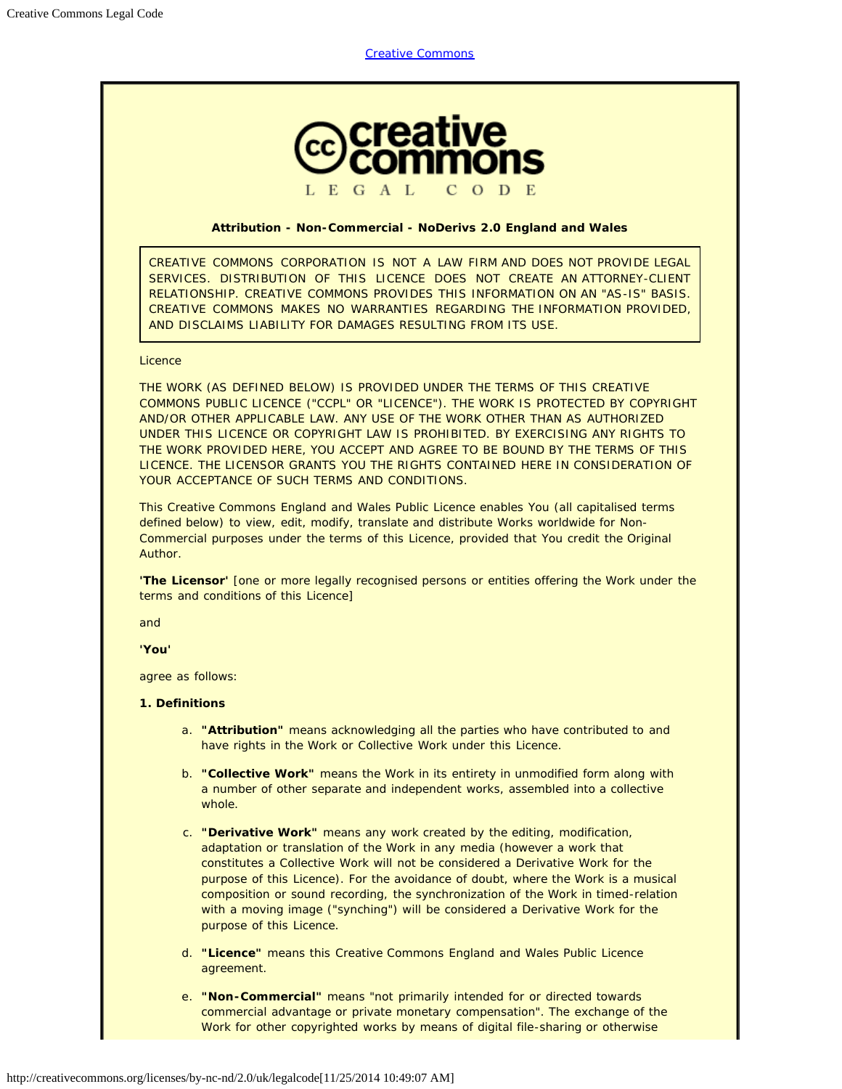

#### **Attribution - Non-Commercial - NoDerivs 2.0 England and Wales**

CREATIVE COMMONS CORPORATION IS NOT A LAW FIRM AND DOES NOT PROVIDE LEGAL SERVICES. DISTRIBUTION OF THIS LICENCE DOES NOT CREATE AN ATTORNEY-CLIENT RELATIONSHIP. CREATIVE COMMONS PROVIDES THIS INFORMATION ON AN "AS-IS" BASIS. CREATIVE COMMONS MAKES NO WARRANTIES REGARDING THE INFORMATION PROVIDED, AND DISCLAIMS LIABILITY FOR DAMAGES RESULTING FROM ITS USE.

## *Licence*

THE WORK (AS DEFINED BELOW) IS PROVIDED UNDER THE TERMS OF THIS CREATIVE COMMONS PUBLIC LICENCE ("CCPL" OR "LICENCE"). THE WORK IS PROTECTED BY COPYRIGHT AND/OR OTHER APPLICABLE LAW. ANY USE OF THE WORK OTHER THAN AS AUTHORIZED UNDER THIS LICENCE OR COPYRIGHT LAW IS PROHIBITED. BY EXERCISING ANY RIGHTS TO THE WORK PROVIDED HERE, YOU ACCEPT AND AGREE TO BE BOUND BY THE TERMS OF THIS LICENCE. THE LICENSOR GRANTS YOU THE RIGHTS CONTAINED HERE IN CONSIDERATION OF YOUR ACCEPTANCE OF SUCH TERMS AND CONDITIONS.

This Creative Commons England and Wales Public Licence enables You (all capitalised terms defined below) to view, edit, modify, translate and distribute Works worldwide for Non-Commercial purposes under the terms of this Licence, provided that You credit the Original Author.

**'The Licensor'** [one or more legally recognised persons or entities offering the Work under the terms and conditions of this Licence]

and

### **'You'**

agree as follows:

### **1. Definitions**

- a. **"Attribution"** means acknowledging all the parties who have contributed to and have rights in the Work or Collective Work under this Licence.
- b. **"Collective Work"** means the Work in its entirety in unmodified form along with a number of other separate and independent works, assembled into a collective whole.
- c. **"Derivative Work"** means any work created by the editing, modification, adaptation or translation of the Work in any media (however a work that constitutes a Collective Work will not be considered a Derivative Work for the purpose of this Licence). For the avoidance of doubt, where the Work is a musical composition or sound recording, the synchronization of the Work in timed-relation with a moving image ("synching") will be considered a Derivative Work for the purpose of this Licence.
- d. **"Licence"** means this Creative Commons England and Wales Public Licence agreement.
- e. **"Non-Commercial"** means "not primarily intended for or directed towards commercial advantage or private monetary compensation". The exchange of the Work for other copyrighted works by means of digital file-sharing or otherwise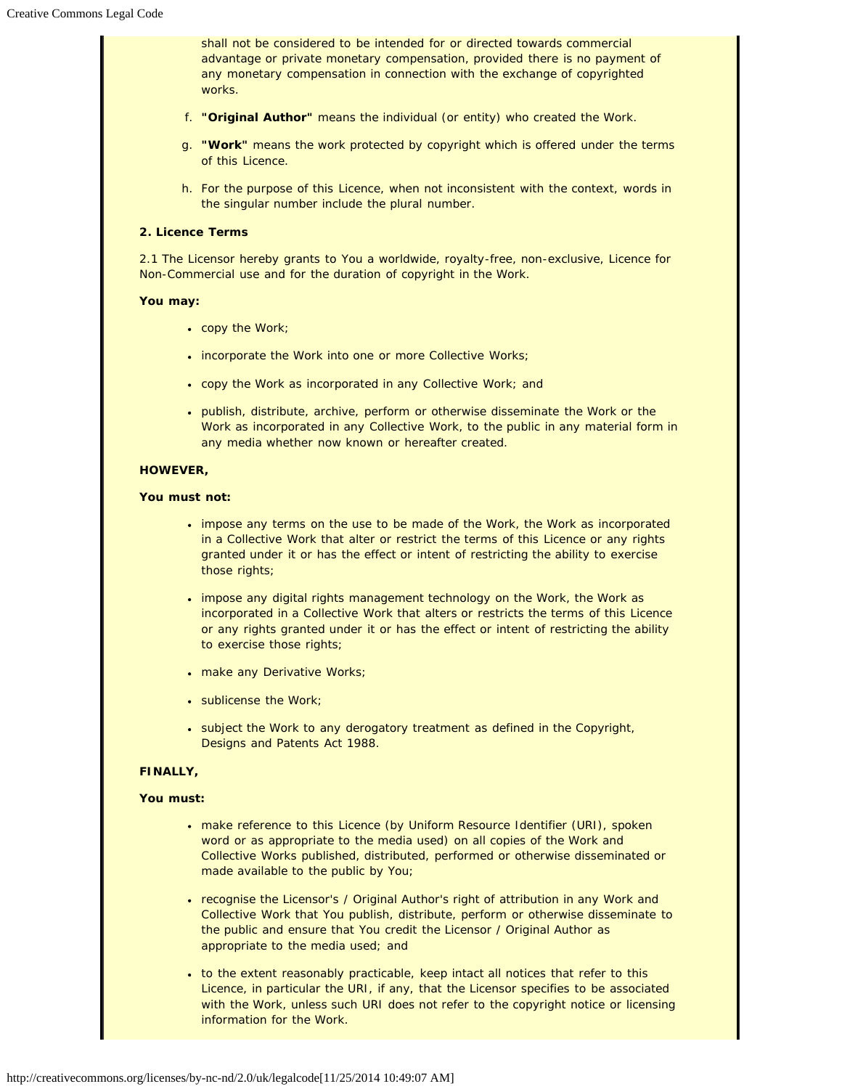shall not be considered to be intended for or directed towards commercial advantage or private monetary compensation, provided there is no payment of any monetary compensation in connection with the exchange of copyrighted works.

- f. **"Original Author"** means the individual (or entity) who created the Work.
- g. **"Work"** means the work protected by copyright which is offered under the terms of this Licence.
- h. For the purpose of this Licence, when not inconsistent with the context, words in the singular number include the plural number.

## **2. Licence Terms**

2.1 The Licensor hereby grants to You a worldwide, royalty-free, non-exclusive, Licence for Non-Commercial use and for the duration of copyright in the Work.

## **You may:**

- copy the Work;
- incorporate the Work into one or more Collective Works;
- copy the Work as incorporated in any Collective Work; and
- publish, distribute, archive, perform or otherwise disseminate the Work or the Work as incorporated in any Collective Work, to the public in any material form in any media whether now known or hereafter created.

## **HOWEVER,**

## **You must not:**

- impose any terms on the use to be made of the Work, the Work as incorporated in a Collective Work that alter or restrict the terms of this Licence or any rights granted under it or has the effect or intent of restricting the ability to exercise those rights;
- impose any digital rights management technology on the Work, the Work as incorporated in a Collective Work that alters or restricts the terms of this Licence or any rights granted under it or has the effect or intent of restricting the ability to exercise those rights;
- make any Derivative Works;
- sublicense the Work:
- subject the Work to any derogatory treatment as defined in the Copyright, Designs and Patents Act 1988.

# **FINALLY,**

### **You must:**

- make reference to this Licence (by Uniform Resource Identifier (URI), spoken word or as appropriate to the media used) on all copies of the Work and Collective Works published, distributed, performed or otherwise disseminated or made available to the public by You;
- recognise the Licensor's / Original Author's right of attribution in any Work and Collective Work that You publish, distribute, perform or otherwise disseminate to the public and ensure that You credit the Licensor / Original Author as appropriate to the media used; and
- to the extent reasonably practicable, keep intact all notices that refer to this Licence, in particular the URI, if any, that the Licensor specifies to be associated with the Work, unless such URI does not refer to the copyright notice or licensing information for the Work.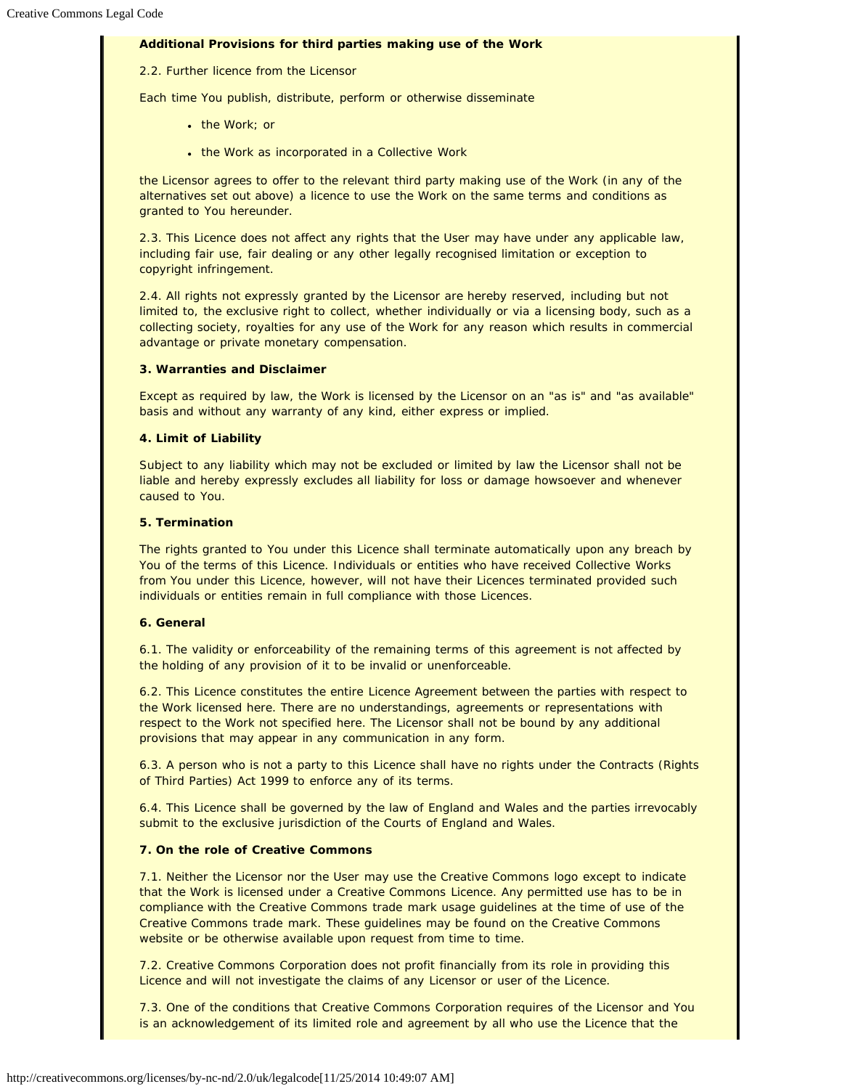## **Additional Provisions for third parties making use of the Work**

2.2. Further licence from the Licensor

Each time You publish, distribute, perform or otherwise disseminate

- the Work: or
- the Work as incorporated in a Collective Work

the Licensor agrees to offer to the relevant third party making use of the Work (in any of the alternatives set out above) a licence to use the Work on the same terms and conditions as granted to You hereunder.

2.3. This Licence does not affect any rights that the User may have under any applicable law, including fair use, fair dealing or any other legally recognised limitation or exception to copyright infringement.

2.4. All rights not expressly granted by the Licensor are hereby reserved, including but not limited to, the exclusive right to collect, whether individually or via a licensing body, such as a collecting society, royalties for any use of the Work for any reason which results in commercial advantage or private monetary compensation.

### **3. Warranties and Disclaimer**

Except as required by law, the Work is licensed by the Licensor on an "as is" and "as available" basis and without any warranty of any kind, either express or implied.

# **4. Limit of Liability**

Subject to any liability which may not be excluded or limited by law the Licensor shall not be liable and hereby expressly excludes all liability for loss or damage howsoever and whenever caused to You.

## **5. Termination**

The rights granted to You under this Licence shall terminate automatically upon any breach by You of the terms of this Licence. Individuals or entities who have received Collective Works from You under this Licence, however, will not have their Licences terminated provided such individuals or entities remain in full compliance with those Licences.

# **6. General**

6.1. The validity or enforceability of the remaining terms of this agreement is not affected by the holding of any provision of it to be invalid or unenforceable.

6.2. This Licence constitutes the entire Licence Agreement between the parties with respect to the Work licensed here. There are no understandings, agreements or representations with respect to the Work not specified here. The Licensor shall not be bound by any additional provisions that may appear in any communication in any form.

6.3. A person who is not a party to this Licence shall have no rights under the Contracts (Rights of Third Parties) Act 1999 to enforce any of its terms.

6.4. This Licence shall be governed by the law of England and Wales and the parties irrevocably submit to the exclusive jurisdiction of the Courts of England and Wales.

# **7. On the role of Creative Commons**

7.1. Neither the Licensor nor the User may use the Creative Commons logo except to indicate that the Work is licensed under a Creative Commons Licence. Any permitted use has to be in compliance with the Creative Commons trade mark usage guidelines at the time of use of the Creative Commons trade mark. These guidelines may be found on the Creative Commons website or be otherwise available upon request from time to time.

7.2. Creative Commons Corporation does not profit financially from its role in providing this Licence and will not investigate the claims of any Licensor or user of the Licence.

7.3. One of the conditions that Creative Commons Corporation requires of the Licensor and You is an acknowledgement of its limited role and agreement by all who use the Licence that the